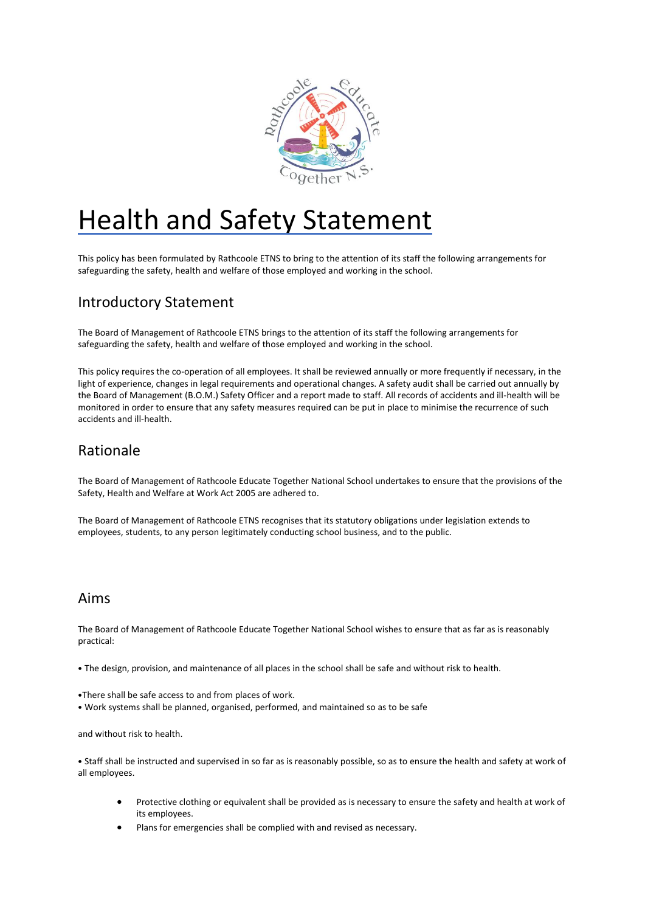

# Health and Safety Statement

This policy has been formulated by Rathcoole ETNS to bring to the attention of its staff the following arrangements for safeguarding the safety, health and welfare of those employed and working in the school.

# Introductory Statement

The Board of Management of Rathcoole ETNS brings to the attention of its staff the following arrangements for safeguarding the safety, health and welfare of those employed and working in the school.

This policy requires the co-operation of all employees. It shall be reviewed annually or more frequently if necessary, in the light of experience, changes in legal requirements and operational changes. A safety audit shall be carried out annually by the Board of Management (B.O.M.) Safety Officer and a report made to staff. All records of accidents and ill-health will be monitored in order to ensure that any safety measures required can be put in place to minimise the recurrence of such accidents and ill-health.

# Rationale

The Board of Management of Rathcoole Educate Together National School undertakes to ensure that the provisions of the Safety, Health and Welfare at Work Act 2005 are adhered to.

The Board of Management of Rathcoole ETNS recognises that its statutory obligations under legislation extends to employees, students, to any person legitimately conducting school business, and to the public.

### Aims

The Board of Management of Rathcoole Educate Together National School wishes to ensure that as far as is reasonably practical:

• The design, provision, and maintenance of all places in the school shall be safe and without risk to health.

- •There shall be safe access to and from places of work.
- Work systems shall be planned, organised, performed, and maintained so as to be safe

and without risk to health.

• Staff shall be instructed and supervised in so far as is reasonably possible, so as to ensure the health and safety at work of all employees.

- Protective clothing or equivalent shall be provided as is necessary to ensure the safety and health at work of its employees.
- Plans for emergencies shall be complied with and revised as necessary.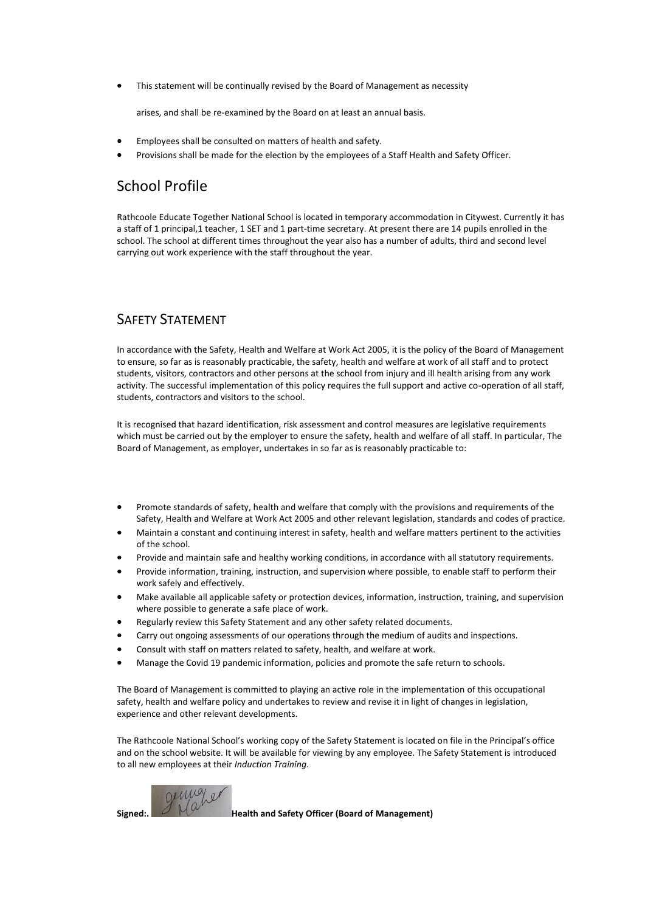• This statement will be continually revised by the Board of Management as necessity

arises, and shall be re-examined by the Board on at least an annual basis.

- Employees shall be consulted on matters of health and safety.
- Provisions shall be made for the election by the employees of a Staff Health and Safety Officer.

### School Profile

Rathcoole Educate Together National School is located in temporary accommodation in Citywest. Currently it has a staff of 1 principal,1 teacher, 1 SET and 1 part-time secretary. At present there are 14 pupils enrolled in the school. The school at different times throughout the year also has a number of adults, third and second level carrying out work experience with the staff throughout the year.

### SAFETY STATEMENT

In accordance with the Safety, Health and Welfare at Work Act 2005, it is the policy of the Board of Management to ensure, so far as is reasonably practicable, the safety, health and welfare at work of all staff and to protect students, visitors, contractors and other persons at the school from injury and ill health arising from any work activity. The successful implementation of this policy requires the full support and active co-operation of all staff, students, contractors and visitors to the school.

It is recognised that hazard identification, risk assessment and control measures are legislative requirements which must be carried out by the employer to ensure the safety, health and welfare of all staff. In particular, The Board of Management, as employer, undertakes in so far as is reasonably practicable to:

- Promote standards of safety, health and welfare that comply with the provisions and requirements of the Safety, Health and Welfare at Work Act 2005 and other relevant legislation, standards and codes of practice.
- Maintain a constant and continuing interest in safety, health and welfare matters pertinent to the activities of the school.
- Provide and maintain safe and healthy working conditions, in accordance with all statutory requirements.
- Provide information, training, instruction, and supervision where possible, to enable staff to perform their work safely and effectively.
- Make available all applicable safety or protection devices, information, instruction, training, and supervision where possible to generate a safe place of work.
- Regularly review this Safety Statement and any other safety related documents.
- Carry out ongoing assessments of our operations through the medium of audits and inspections.
- Consult with staff on matters related to safety, health, and welfare at work.
- Manage the Covid 19 pandemic information, policies and promote the safe return to schools.

The Board of Management is committed to playing an active role in the implementation of this occupational safety, health and welfare policy and undertakes to review and revise it in light of changes in legislation, experience and other relevant developments.

The Rathcoole National School's working copy of the Safety Statement is located on file in the Principal's office and on the school website. It will be available for viewing by any employee. The Safety Statement is introduced to all new employees at their *Induction Training*.



**Signed:. Health and Safety Officer (Board of Management)**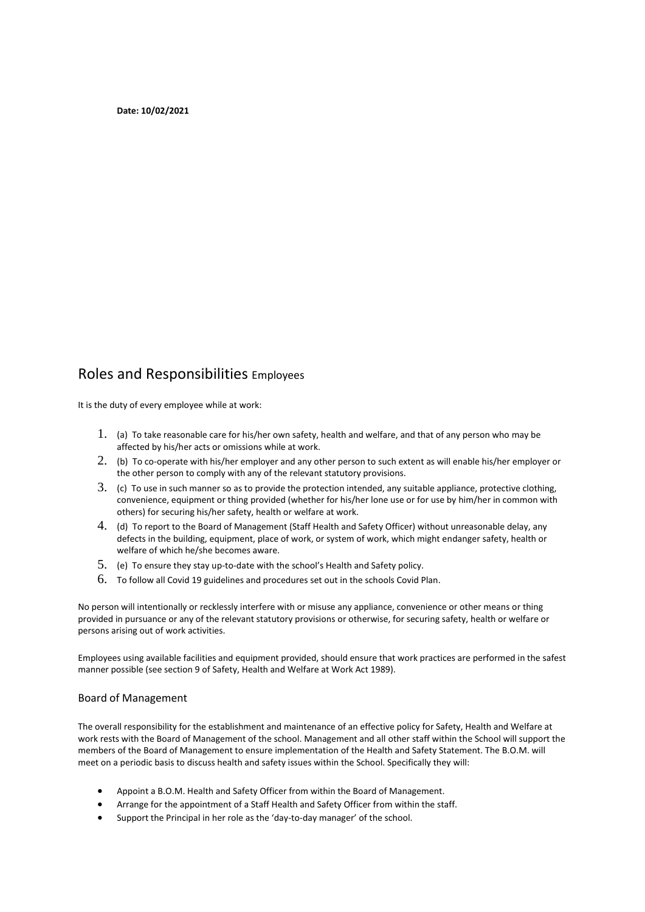**Date: 10/02/2021** 

### Roles and Responsibilities Employees

It is the duty of every employee while at work:

- 1. (a) To take reasonable care for his/her own safety, health and welfare, and that of any person who may be affected by his/her acts or omissions while at work.
- 2. (b) To co-operate with his/her employer and any other person to such extent as will enable his/her employer or the other person to comply with any of the relevant statutory provisions.
- 3. (c) To use in such manner so as to provide the protection intended, any suitable appliance, protective clothing, convenience, equipment or thing provided (whether for his/her lone use or for use by him/her in common with others) for securing his/her safety, health or welfare at work.
- 4. (d) To report to the Board of Management (Staff Health and Safety Officer) without unreasonable delay, any defects in the building, equipment, place of work, or system of work, which might endanger safety, health or welfare of which he/she becomes aware.
- 5. (e) To ensure they stay up-to-date with the school's Health and Safety policy.
- 6. To follow all Covid 19 guidelines and procedures set out in the schools Covid Plan.

No person will intentionally or recklessly interfere with or misuse any appliance, convenience or other means or thing provided in pursuance or any of the relevant statutory provisions or otherwise, for securing safety, health or welfare or persons arising out of work activities.

Employees using available facilities and equipment provided, should ensure that work practices are performed in the safest manner possible (see section 9 of Safety, Health and Welfare at Work Act 1989).

#### Board of Management

The overall responsibility for the establishment and maintenance of an effective policy for Safety, Health and Welfare at work rests with the Board of Management of the school. Management and all other staff within the School will support the members of the Board of Management to ensure implementation of the Health and Safety Statement. The B.O.M. will meet on a periodic basis to discuss health and safety issues within the School. Specifically they will:

- Appoint a B.O.M. Health and Safety Officer from within the Board of Management.
- Arrange for the appointment of a Staff Health and Safety Officer from within the staff.
- Support the Principal in her role as the 'day-to-day manager' of the school.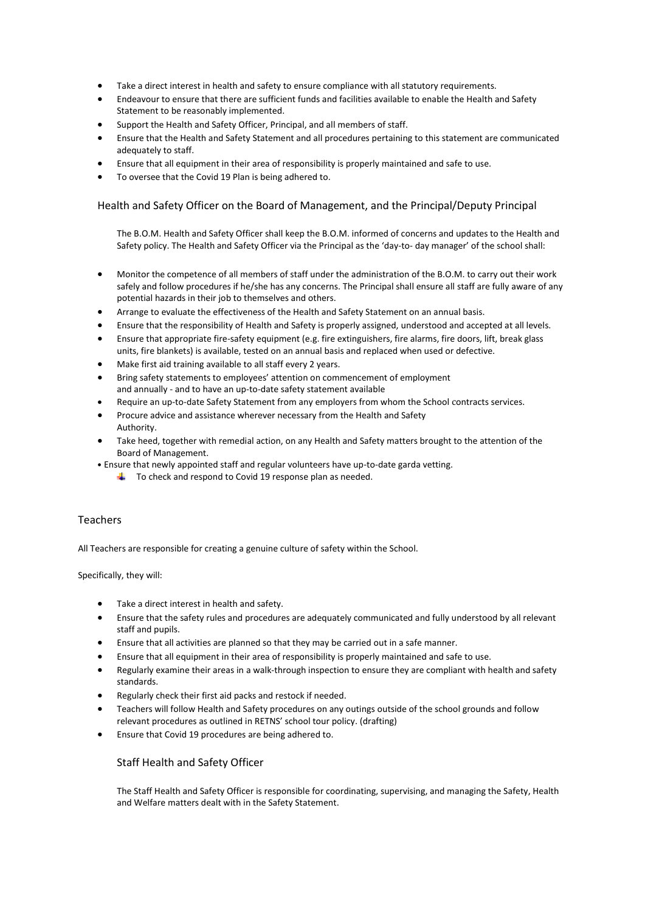- Take a direct interest in health and safety to ensure compliance with all statutory requirements.
- Endeavour to ensure that there are sufficient funds and facilities available to enable the Health and Safety Statement to be reasonably implemented.
- Support the Health and Safety Officer, Principal, and all members of staff.
- Ensure that the Health and Safety Statement and all procedures pertaining to this statement are communicated adequately to staff.
- Ensure that all equipment in their area of responsibility is properly maintained and safe to use.
- To oversee that the Covid 19 Plan is being adhered to.

### Health and Safety Officer on the Board of Management, and the Principal/Deputy Principal

The B.O.M. Health and Safety Officer shall keep the B.O.M. informed of concerns and updates to the Health and Safety policy. The Health and Safety Officer via the Principal as the 'day-to- day manager' of the school shall:

- Monitor the competence of all members of staff under the administration of the B.O.M. to carry out their work safely and follow procedures if he/she has any concerns. The Principal shall ensure all staff are fully aware of any potential hazards in their job to themselves and others.
- Arrange to evaluate the effectiveness of the Health and Safety Statement on an annual basis.
- Ensure that the responsibility of Health and Safety is properly assigned, understood and accepted at all levels.
- Ensure that appropriate fire-safety equipment (e.g. fire extinguishers, fire alarms, fire doors, lift, break glass units, fire blankets) is available, tested on an annual basis and replaced when used or defective.
- Make first aid training available to all staff every 2 years.
- Bring safety statements to employees' attention on commencement of employment and annually - and to have an up-to-date safety statement available
- Require an up-to-date Safety Statement from any employers from whom the School contracts services.
- Procure advice and assistance wherever necessary from the Health and Safety Authority.
- Take heed, together with remedial action, on any Health and Safety matters brought to the attention of the Board of Management.
- Ensure that newly appointed staff and regular volunteers have up-to-date garda vetting.
	- $\frac{1}{2}$  To check and respond to Covid 19 response plan as needed.

#### **Teachers**

All Teachers are responsible for creating a genuine culture of safety within the School.

Specifically, they will:

- Take a direct interest in health and safety.
- Ensure that the safety rules and procedures are adequately communicated and fully understood by all relevant staff and pupils.
- Ensure that all activities are planned so that they may be carried out in a safe manner.
- Ensure that all equipment in their area of responsibility is properly maintained and safe to use.
- Regularly examine their areas in a walk-through inspection to ensure they are compliant with health and safety standards.
- Regularly check their first aid packs and restock if needed.
- Teachers will follow Health and Safety procedures on any outings outside of the school grounds and follow relevant procedures as outlined in RETNS' school tour policy. (drafting)
- Ensure that Covid 19 procedures are being adhered to.

### Staff Health and Safety Officer

The Staff Health and Safety Officer is responsible for coordinating, supervising, and managing the Safety, Health and Welfare matters dealt with in the Safety Statement.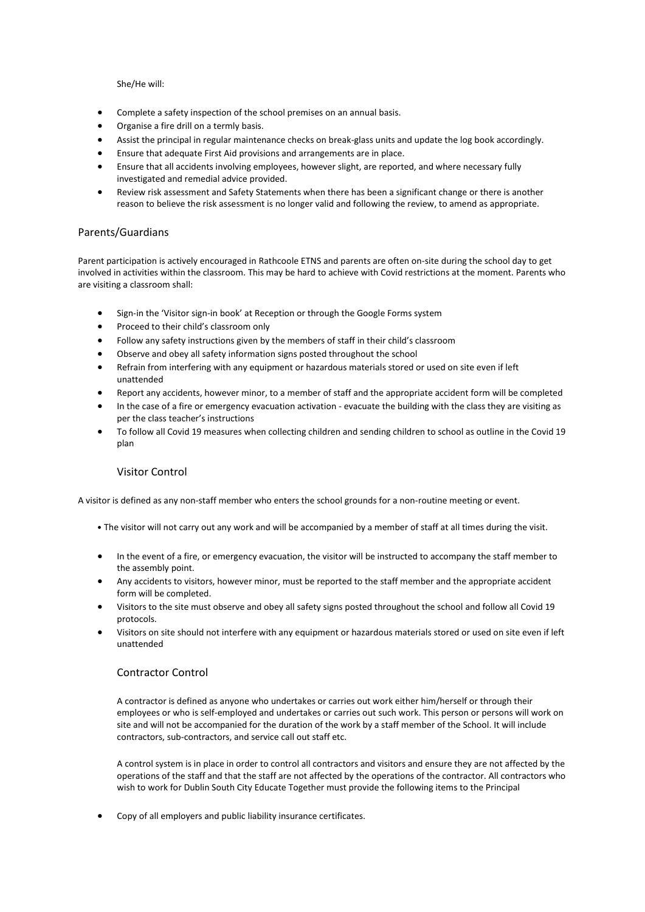She/He will:

- Complete a safety inspection of the school premises on an annual basis.
- Organise a fire drill on a termly basis.
- Assist the principal in regular maintenance checks on break-glass units and update the log book accordingly.
- Ensure that adequate First Aid provisions and arrangements are in place.
- Ensure that all accidents involving employees, however slight, are reported, and where necessary fully investigated and remedial advice provided.
- Review risk assessment and Safety Statements when there has been a significant change or there is another reason to believe the risk assessment is no longer valid and following the review, to amend as appropriate.

#### Parents/Guardians

Parent participation is actively encouraged in Rathcoole ETNS and parents are often on-site during the school day to get involved in activities within the classroom. This may be hard to achieve with Covid restrictions at the moment. Parents who are visiting a classroom shall:

- Sign-in the 'Visitor sign-in book' at Reception or through the Google Forms system
- Proceed to their child's classroom only
- Follow any safety instructions given by the members of staff in their child's classroom
- Observe and obey all safety information signs posted throughout the school
- Refrain from interfering with any equipment or hazardous materials stored or used on site even if left unattended
- Report any accidents, however minor, to a member of staff and the appropriate accident form will be completed
- In the case of a fire or emergency evacuation activation evacuate the building with the class they are visiting as per the class teacher's instructions
- To follow all Covid 19 measures when collecting children and sending children to school as outline in the Covid 19 plan

### Visitor Control

A visitor is defined as any non-staff member who enters the school grounds for a non-routine meeting or event.

- The visitor will not carry out any work and will be accompanied by a member of staff at all times during the visit.
- In the event of a fire, or emergency evacuation, the visitor will be instructed to accompany the staff member to the assembly point.
- Any accidents to visitors, however minor, must be reported to the staff member and the appropriate accident form will be completed.
- Visitors to the site must observe and obey all safety signs posted throughout the school and follow all Covid 19 protocols.
- Visitors on site should not interfere with any equipment or hazardous materials stored or used on site even if left unattended

### Contractor Control

A contractor is defined as anyone who undertakes or carries out work either him/herself or through their employees or who is self-employed and undertakes or carries out such work. This person or persons will work on site and will not be accompanied for the duration of the work by a staff member of the School. It will include contractors, sub-contractors, and service call out staff etc.

A control system is in place in order to control all contractors and visitors and ensure they are not affected by the operations of the staff and that the staff are not affected by the operations of the contractor. All contractors who wish to work for Dublin South City Educate Together must provide the following items to the Principal

• Copy of all employers and public liability insurance certificates.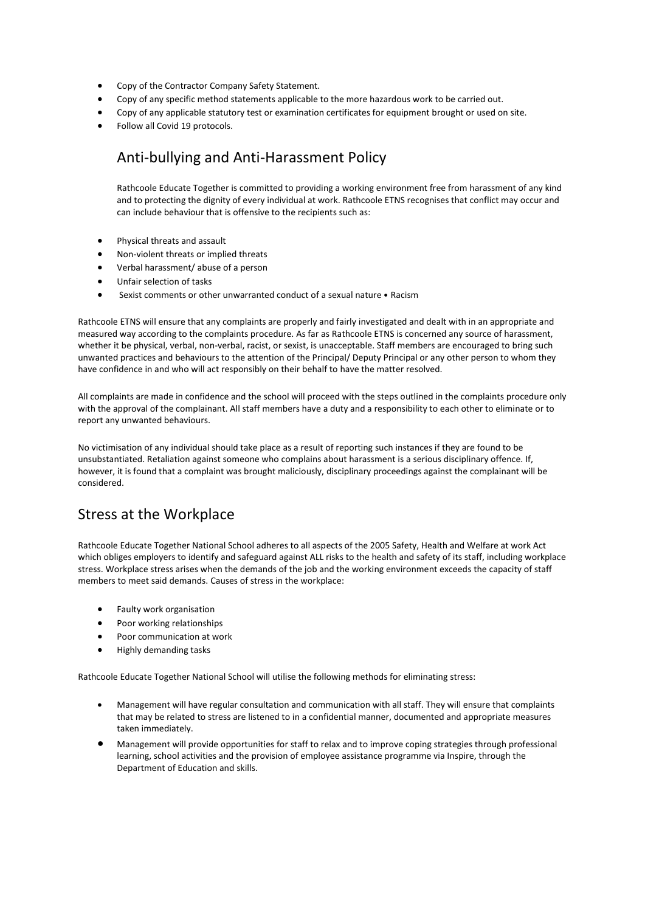- Copy of the Contractor Company Safety Statement.
- Copy of any specific method statements applicable to the more hazardous work to be carried out.
- Copy of any applicable statutory test or examination certificates for equipment brought or used on site.
- Follow all Covid 19 protocols.

## Anti-bullying and Anti-Harassment Policy

Rathcoole Educate Together is committed to providing a working environment free from harassment of any kind and to protecting the dignity of every individual at work. Rathcoole ETNS recognises that conflict may occur and can include behaviour that is offensive to the recipients such as:

- Physical threats and assault
- Non-violent threats or implied threats
- Verbal harassment/ abuse of a person
- Unfair selection of tasks
- Sexist comments or other unwarranted conduct of a sexual nature Racism

Rathcoole ETNS will ensure that any complaints are properly and fairly investigated and dealt with in an appropriate and measured way according to the complaints procedure. As far as Rathcoole ETNS is concerned any source of harassment, whether it be physical, verbal, non-verbal, racist, or sexist, is unacceptable. Staff members are encouraged to bring such unwanted practices and behaviours to the attention of the Principal/ Deputy Principal or any other person to whom they have confidence in and who will act responsibly on their behalf to have the matter resolved.

All complaints are made in confidence and the school will proceed with the steps outlined in the complaints procedure only with the approval of the complainant. All staff members have a duty and a responsibility to each other to eliminate or to report any unwanted behaviours.

No victimisation of any individual should take place as a result of reporting such instances if they are found to be unsubstantiated. Retaliation against someone who complains about harassment is a serious disciplinary offence. If, however, it is found that a complaint was brought maliciously, disciplinary proceedings against the complainant will be considered.

### Stress at the Workplace

Rathcoole Educate Together National School adheres to all aspects of the 2005 Safety, Health and Welfare at work Act which obliges employers to identify and safeguard against ALL risks to the health and safety of its staff, including workplace stress. Workplace stress arises when the demands of the job and the working environment exceeds the capacity of staff members to meet said demands. Causes of stress in the workplace:

- Faulty work organisation
- Poor working relationships
- Poor communication at work
- Highly demanding tasks

Rathcoole Educate Together National School will utilise the following methods for eliminating stress:

- Management will have regular consultation and communication with all staff. They will ensure that complaints that may be related to stress are listened to in a confidential manner, documented and appropriate measures taken immediately.
- Management will provide opportunities for staff to relax and to improve coping strategies through professional learning, school activities and the provision of employee assistance programme via Inspire, through the Department of Education and skills.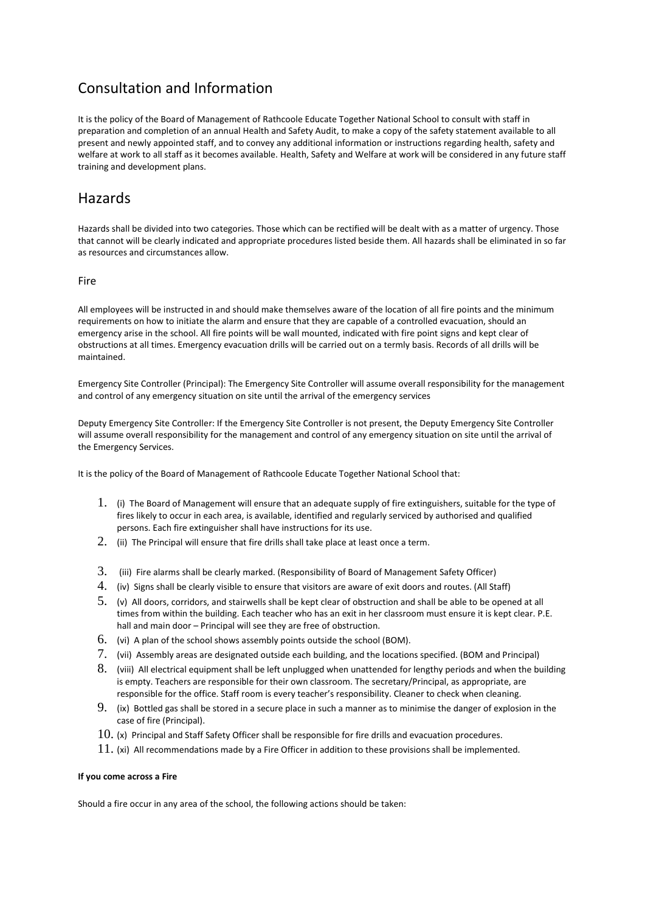# Consultation and Information

It is the policy of the Board of Management of Rathcoole Educate Together National School to consult with staff in preparation and completion of an annual Health and Safety Audit, to make a copy of the safety statement available to all present and newly appointed staff, and to convey any additional information or instructions regarding health, safety and welfare at work to all staff as it becomes available. Health, Safety and Welfare at work will be considered in any future staff training and development plans.

### **Hazards**

Hazards shall be divided into two categories. Those which can be rectified will be dealt with as a matter of urgency. Those that cannot will be clearly indicated and appropriate procedures listed beside them. All hazards shall be eliminated in so far as resources and circumstances allow.

### Fire

All employees will be instructed in and should make themselves aware of the location of all fire points and the minimum requirements on how to initiate the alarm and ensure that they are capable of a controlled evacuation, should an emergency arise in the school. All fire points will be wall mounted, indicated with fire point signs and kept clear of obstructions at all times. Emergency evacuation drills will be carried out on a termly basis. Records of all drills will be maintained.

Emergency Site Controller (Principal): The Emergency Site Controller will assume overall responsibility for the management and control of any emergency situation on site until the arrival of the emergency services

Deputy Emergency Site Controller: If the Emergency Site Controller is not present, the Deputy Emergency Site Controller will assume overall responsibility for the management and control of any emergency situation on site until the arrival of the Emergency Services.

It is the policy of the Board of Management of Rathcoole Educate Together National School that:

- 1. (i) The Board of Management will ensure that an adequate supply of fire extinguishers, suitable for the type of fires likely to occur in each area, is available, identified and regularly serviced by authorised and qualified persons. Each fire extinguisher shall have instructions for its use.
- $2.$  (ii) The Principal will ensure that fire drills shall take place at least once a term.
- 3. (iii) Fire alarms shall be clearly marked. (Responsibility of Board of Management Safety Officer)
- 4. (iv) Signs shall be clearly visible to ensure that visitors are aware of exit doors and routes. (All Staff)
- 5. (v) All doors, corridors, and stairwells shall be kept clear of obstruction and shall be able to be opened at all times from within the building. Each teacher who has an exit in her classroom must ensure it is kept clear. P.E. hall and main door – Principal will see they are free of obstruction.
- 6. (vi) A plan of the school shows assembly points outside the school (BOM).
- 7. (vii) Assembly areas are designated outside each building, and the locations specified. (BOM and Principal)
- 8. (viii) All electrical equipment shall be left unplugged when unattended for lengthy periods and when the building is empty. Teachers are responsible for their own classroom. The secretary/Principal, as appropriate, are responsible for the office. Staff room is every teacher's responsibility. Cleaner to check when cleaning.
- 9. (ix) Bottled gas shall be stored in a secure place in such a manner as to minimise the danger of explosion in the case of fire (Principal).
- $10.$  (x) Principal and Staff Safety Officer shall be responsible for fire drills and evacuation procedures.
- $11.$  (xi) All recommendations made by a Fire Officer in addition to these provisions shall be implemented.

### **If you come across a Fire**

Should a fire occur in any area of the school, the following actions should be taken: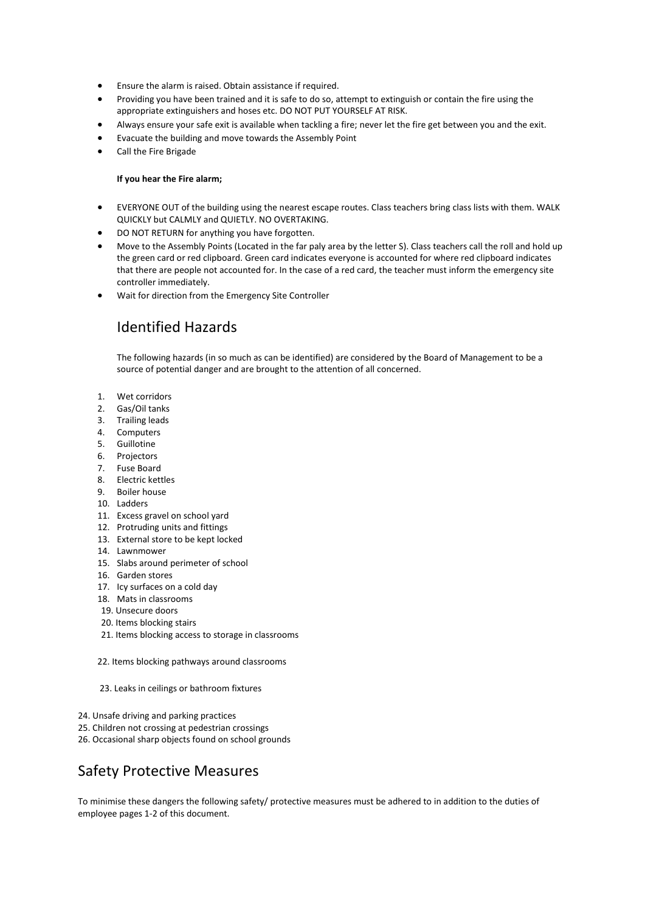- Ensure the alarm is raised. Obtain assistance if required.
- Providing you have been trained and it is safe to do so, attempt to extinguish or contain the fire using the appropriate extinguishers and hoses etc. DO NOT PUT YOURSELF AT RISK.
- Always ensure your safe exit is available when tackling a fire; never let the fire get between you and the exit.
- Evacuate the building and move towards the Assembly Point
- Call the Fire Brigade

#### **If you hear the Fire alarm;**

- EVERYONE OUT of the building using the nearest escape routes. Class teachers bring class lists with them. WALK QUICKLY but CALMLY and QUIETLY. NO OVERTAKING.
- DO NOT RETURN for anything you have forgotten.
- Move to the Assembly Points (Located in the far paly area by the letter S). Class teachers call the roll and hold up the green card or red clipboard. Green card indicates everyone is accounted for where red clipboard indicates that there are people not accounted for. In the case of a red card, the teacher must inform the emergency site controller immediately.
- Wait for direction from the Emergency Site Controller

### Identified Hazards

The following hazards (in so much as can be identified) are considered by the Board of Management to be a source of potential danger and are brought to the attention of all concerned.

- 1. Wet corridors
- 2. Gas/Oil tanks
- 3. Trailing leads
- 4. Computers
- 5. Guillotine
- 6. Projectors
- 7. Fuse Board
- 8. Electric kettles
- 9. Boiler house
- 10. Ladders
- 11. Excess gravel on school yard
- 12. Protruding units and fittings
- 13. External store to be kept locked
- 14. Lawnmower
- 15. Slabs around perimeter of school
- 16. Garden stores
- 17. Icy surfaces on a cold day
- 18. Mats in classrooms
- 19. Unsecure doors
- 20. Items blocking stairs
- 21. Items blocking access to storage in classrooms

22. Items blocking pathways around classrooms

23. Leaks in ceilings or bathroom fixtures

- 24. Unsafe driving and parking practices
- 25. Children not crossing at pedestrian crossings
- 26. Occasional sharp objects found on school grounds

### Safety Protective Measures

To minimise these dangers the following safety/ protective measures must be adhered to in addition to the duties of employee pages 1-2 of this document.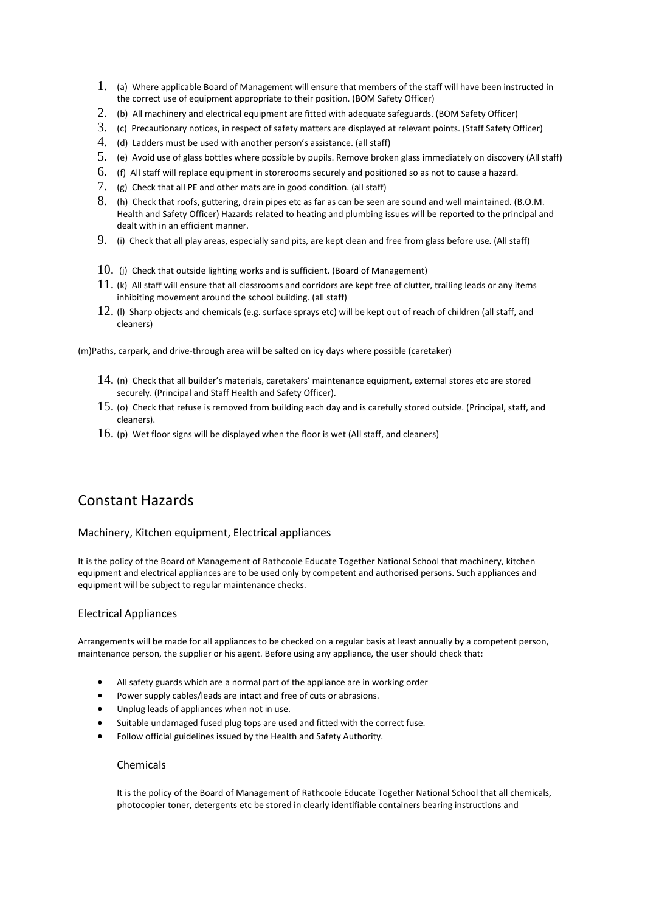- 1. (a) Where applicable Board of Management will ensure that members of the staff will have been instructed in the correct use of equipment appropriate to their position. (BOM Safety Officer)
- 2. (b) All machinery and electrical equipment are fitted with adequate safeguards. (BOM Safety Officer)
- 3. (c) Precautionary notices, in respect of safety matters are displayed at relevant points. (Staff Safety Officer)
- 4. (d) Ladders must be used with another person's assistance. (all staff)
- 5. (e) Avoid use of glass bottles where possible by pupils. Remove broken glass immediately on discovery (All staff)
- 6. (f) All staff will replace equipment in storerooms securely and positioned so as not to cause a hazard.
- 7. (g) Check that all PE and other mats are in good condition. (all staff)
- 8. (h) Check that roofs, guttering, drain pipes etc as far as can be seen are sound and well maintained. (B.O.M. Health and Safety Officer) Hazards related to heating and plumbing issues will be reported to the principal and dealt with in an efficient manner.
- 9. (i) Check that all play areas, especially sand pits, are kept clean and free from glass before use. (All staff)
- $10.$  (i) Check that outside lighting works and is sufficient. (Board of Management)
- $11.$  (k) All staff will ensure that all classrooms and corridors are kept free of clutter, trailing leads or any items inhibiting movement around the school building. (all staff)
- 12. (l) Sharp objects and chemicals (e.g. surface sprays etc) will be kept out of reach of children (all staff, and cleaners)

(m)Paths, carpark, and drive-through area will be salted on icy days where possible (caretaker)

- $14.$  (n) Check that all builder's materials, caretakers' maintenance equipment, external stores etc are stored securely. (Principal and Staff Health and Safety Officer).
- 15. (o) Check that refuse is removed from building each day and is carefully stored outside. (Principal, staff, and cleaners).
- $16.$  (p) Wet floor signs will be displayed when the floor is wet (All staff, and cleaners)

# Constant Hazards

### Machinery, Kitchen equipment, Electrical appliances

It is the policy of the Board of Management of Rathcoole Educate Together National School that machinery, kitchen equipment and electrical appliances are to be used only by competent and authorised persons. Such appliances and equipment will be subject to regular maintenance checks.

### Electrical Appliances

Arrangements will be made for all appliances to be checked on a regular basis at least annually by a competent person, maintenance person, the supplier or his agent. Before using any appliance, the user should check that:

- All safety guards which are a normal part of the appliance are in working order
- Power supply cables/leads are intact and free of cuts or abrasions.
- Unplug leads of appliances when not in use.
- Suitable undamaged fused plug tops are used and fitted with the correct fuse.
- Follow official guidelines issued by the Health and Safety Authority.

#### Chemicals

It is the policy of the Board of Management of Rathcoole Educate Together National School that all chemicals, photocopier toner, detergents etc be stored in clearly identifiable containers bearing instructions and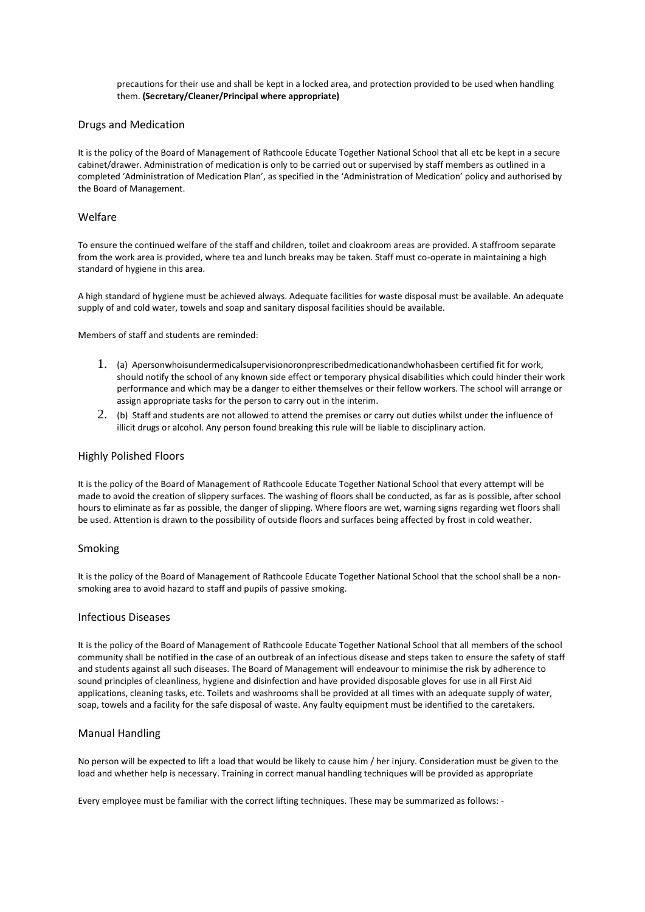precautions for their use and shall be kept in a locked area, and protection provided to be used when handling them. **(Secretary/Cleaner/Principal where appropriate)** 

#### Drugs and Medication

It is the policy of the Board of Management of Rathcoole Educate Together National School that all etc be kept in a secure cabinet/drawer. Administration of medication is only to be carried out or supervised by staff members as outlined in a completed 'Administration of Medication Plan', as specified in the 'Administration of Medication' policy and authorised by the Board of Management.

#### Welfare

To ensure the continued welfare of the staff and children, toilet and cloakroom areas are provided. A staffroom separate from the work area is provided, where tea and lunch breaks may be taken. Staff must co-operate in maintaining a high standard of hygiene in this area.

A high standard of hygiene must be achieved always. Adequate facilities for waste disposal must be available. An adequate supply of and cold water, towels and soap and sanitary disposal facilities should be available.

Members of staff and students are reminded:

- 1. (a) Apersonwhoisundermedicalsupervisionoronprescribedmedicationandwhohasbeen certified fit for work, should notify the school of any known side effect or temporary physical disabilities which could hinder their work performance and which may be a danger to either themselves or their fellow workers. The school will arrange or assign appropriate tasks for the person to carry out in the interim.
- 2. (b) Staff and students are not allowed to attend the premises or carry out duties whilst under the influence of illicit drugs or alcohol. Any person found breaking this rule will be liable to disciplinary action.

#### Highly Polished Floors

It is the policy of the Board of Management of Rathcoole Educate Together National School that every attempt will be made to avoid the creation of slippery surfaces. The washing of floors shall be conducted, as far as is possible, after school hours to eliminate as far as possible, the danger of slipping. Where floors are wet, warning signs regarding wet floors shall be used. Attention is drawn to the possibility of outside floors and surfaces being affected by frost in cold weather.

#### Smoking

It is the policy of the Board of Management of Rathcoole Educate Together National School that the school shall be a nonsmoking area to avoid hazard to staff and pupils of passive smoking.

#### Infectious Diseases

It is the policy of the Board of Management of Rathcoole Educate Together National School that all members of the school community shall be notified in the case of an outbreak of an infectious disease and steps taken to ensure the safety of staff and students against all such diseases. The Board of Management will endeavour to minimise the risk by adherence to sound principles of cleanliness, hygiene and disinfection and have provided disposable gloves for use in all First Aid applications, cleaning tasks, etc. Toilets and washrooms shall be provided at all times with an adequate supply of water, soap, towels and a facility for the safe disposal of waste. Any faulty equipment must be identified to the caretakers.

#### Manual Handling

No person will be expected to lift a load that would be likely to cause him / her injury. Consideration must be given to the load and whether help is necessary. Training in correct manual handling techniques will be provided as appropriate

Every employee must be familiar with the correct lifting techniques. These may be summarized as follows: -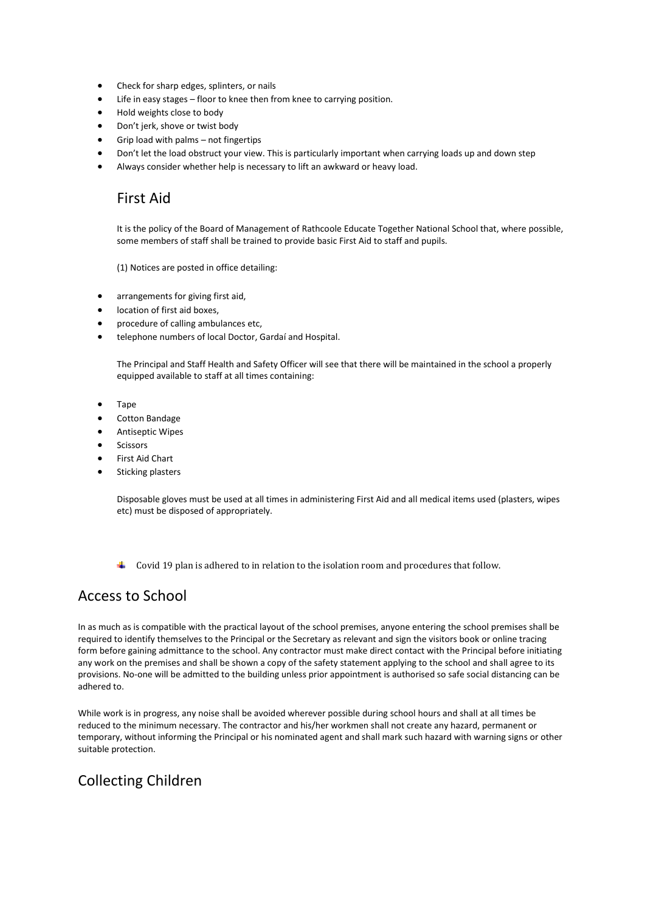- Check for sharp edges, splinters, or nails
- Life in easy stages floor to knee then from knee to carrying position.
- Hold weights close to body
- Don't jerk, shove or twist body
- Grip load with palms not fingertips
- Don't let the load obstruct your view. This is particularly important when carrying loads up and down step
- Always consider whether help is necessary to lift an awkward or heavy load.

### First Aid

It is the policy of the Board of Management of Rathcoole Educate Together National School that, where possible, some members of staff shall be trained to provide basic First Aid to staff and pupils.

(1) Notices are posted in office detailing:

- arrangements for giving first aid,
- location of first aid boxes,
- procedure of calling ambulances etc,
- telephone numbers of local Doctor, Gardaí and Hospital.

The Principal and Staff Health and Safety Officer will see that there will be maintained in the school a properly equipped available to staff at all times containing:

- Tape
- Cotton Bandage
- Antiseptic Wipes
- **Scissors**
- First Aid Chart
- Sticking plasters

Disposable gloves must be used at all times in administering First Aid and all medical items used (plasters, wipes etc) must be disposed of appropriately.

Covid 19 plan is adhered to in relation to the isolation room and procedures that follow.

### Access to School

In as much as is compatible with the practical layout of the school premises, anyone entering the school premises shall be required to identify themselves to the Principal or the Secretary as relevant and sign the visitors book or online tracing form before gaining admittance to the school. Any contractor must make direct contact with the Principal before initiating any work on the premises and shall be shown a copy of the safety statement applying to the school and shall agree to its provisions. No-one will be admitted to the building unless prior appointment is authorised so safe social distancing can be adhered to.

While work is in progress, any noise shall be avoided wherever possible during school hours and shall at all times be reduced to the minimum necessary. The contractor and his/her workmen shall not create any hazard, permanent or temporary, without informing the Principal or his nominated agent and shall mark such hazard with warning signs or other suitable protection.

### Collecting Children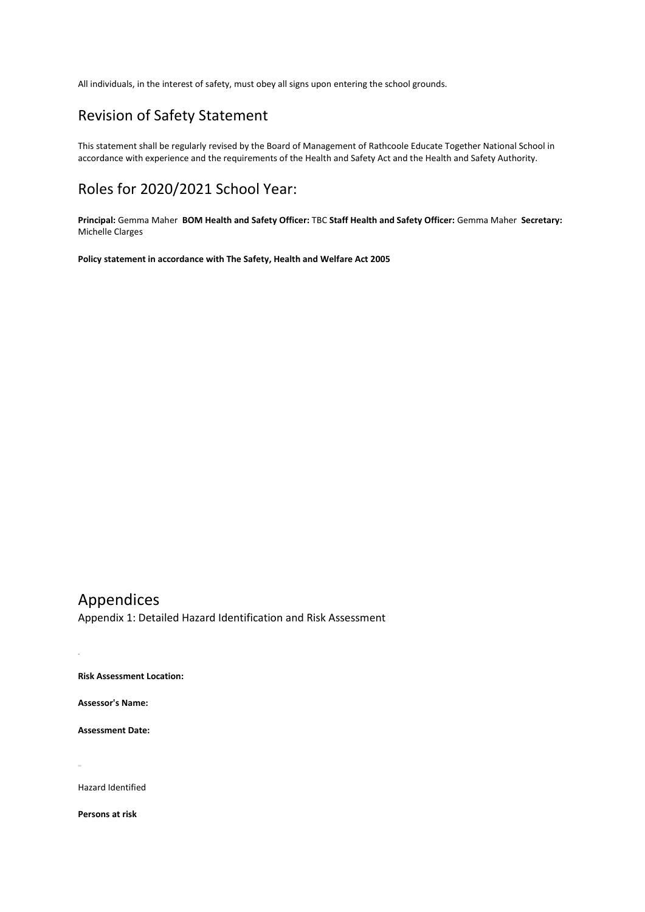All individuals, in the interest of safety, must obey all signs upon entering the school grounds.

# Revision of Safety Statement

This statement shall be regularly revised by the Board of Management of Rathcoole Educate Together National School in accordance with experience and the requirements of the Health and Safety Act and the Health and Safety Authority.

### Roles for 2020/2021 School Year:

**Principal:** Gemma Maher **BOM Health and Safety Officer:** TBC **Staff Health and Safety Officer:** Gemma Maher **Secretary:**  Michelle Clarges

**Policy statement in accordance with The Safety, Health and Welfare Act 2005** 

# Appendices

Appendix 1: Detailed Hazard Identification and Risk Assessment

**Risk Assessment Location:** 

**Assessor's Name:** 

**Assessment Date:** 

Hazard Identified

**Persons at risk**